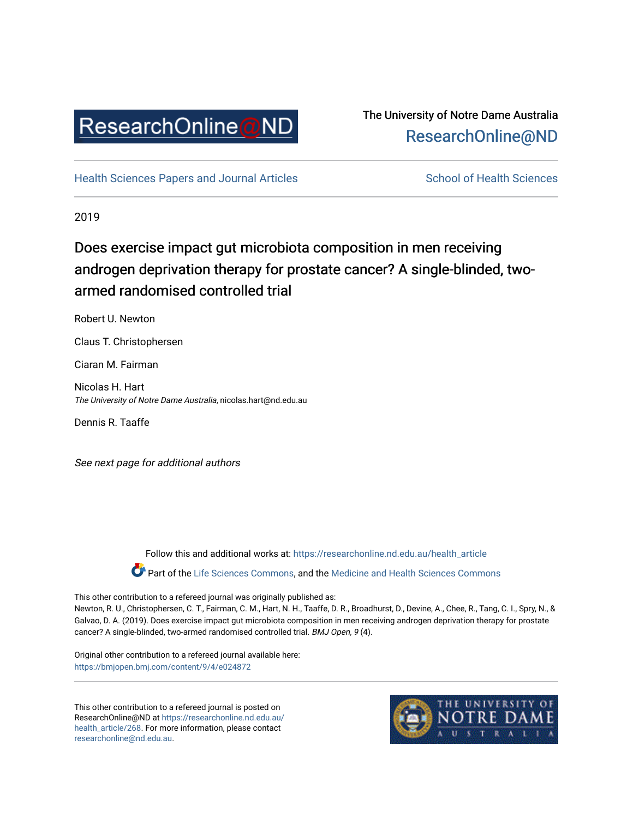

## The University of Notre Dame Australia [ResearchOnline@ND](https://researchonline.nd.edu.au/)

[Health Sciences Papers and Journal Articles](https://researchonline.nd.edu.au/health_article) School of Health Sciences

2019

# Does exercise impact gut microbiota composition in men receiving androgen deprivation therapy for prostate cancer? A single-blinded, twoarmed randomised controlled trial

Robert U. Newton

Claus T. Christophersen

Ciaran M. Fairman

Nicolas H. Hart The University of Notre Dame Australia, nicolas.hart@nd.edu.au

Dennis R. Taaffe

See next page for additional authors

Follow this and additional works at: [https://researchonline.nd.edu.au/health\\_article](https://researchonline.nd.edu.au/health_article?utm_source=researchonline.nd.edu.au%2Fhealth_article%2F268&utm_medium=PDF&utm_campaign=PDFCoverPages) Part of the [Life Sciences Commons](http://network.bepress.com/hgg/discipline/1016?utm_source=researchonline.nd.edu.au%2Fhealth_article%2F268&utm_medium=PDF&utm_campaign=PDFCoverPages), and the Medicine and Health Sciences Commons

This other contribution to a refereed journal was originally published as: Newton, R. U., Christophersen, C. T., Fairman, C. M., Hart, N. H., Taaffe, D. R., Broadhurst, D., Devine, A., Chee, R., Tang, C. I., Spry, N., & Galvao, D. A. (2019). Does exercise impact gut microbiota composition in men receiving androgen deprivation therapy for prostate cancer? A single-blinded, two-armed randomised controlled trial. BMJ Open, 9 (4).

Original other contribution to a refereed journal available here: <https://bmjopen.bmj.com/content/9/4/e024872>

This other contribution to a refereed journal is posted on ResearchOnline@ND at [https://researchonline.nd.edu.au/](https://researchonline.nd.edu.au/health_article/268) [health\\_article/268.](https://researchonline.nd.edu.au/health_article/268) For more information, please contact [researchonline@nd.edu.au.](mailto:researchonline@nd.edu.au)

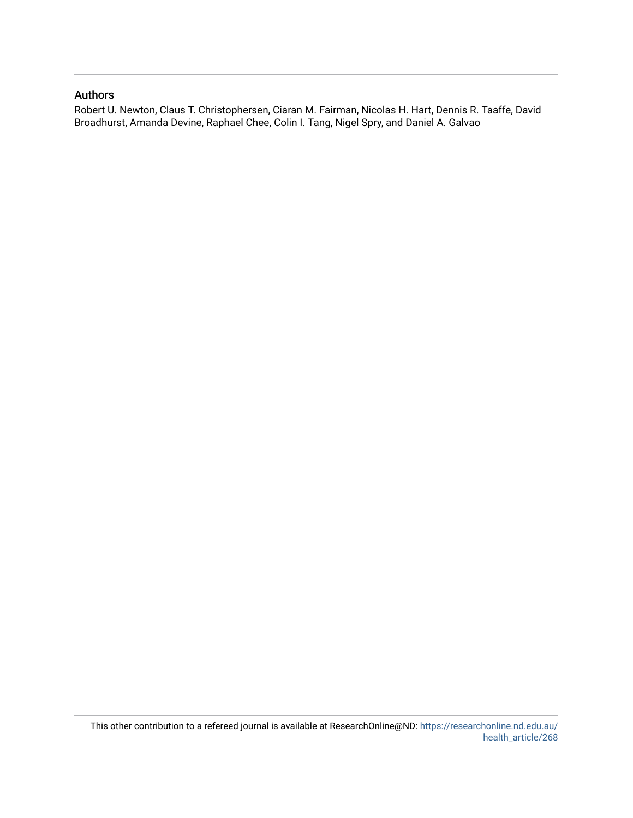## Authors

Robert U. Newton, Claus T. Christophersen, Ciaran M. Fairman, Nicolas H. Hart, Dennis R. Taaffe, David Broadhurst, Amanda Devine, Raphael Chee, Colin I. Tang, Nigel Spry, and Daniel A. Galvao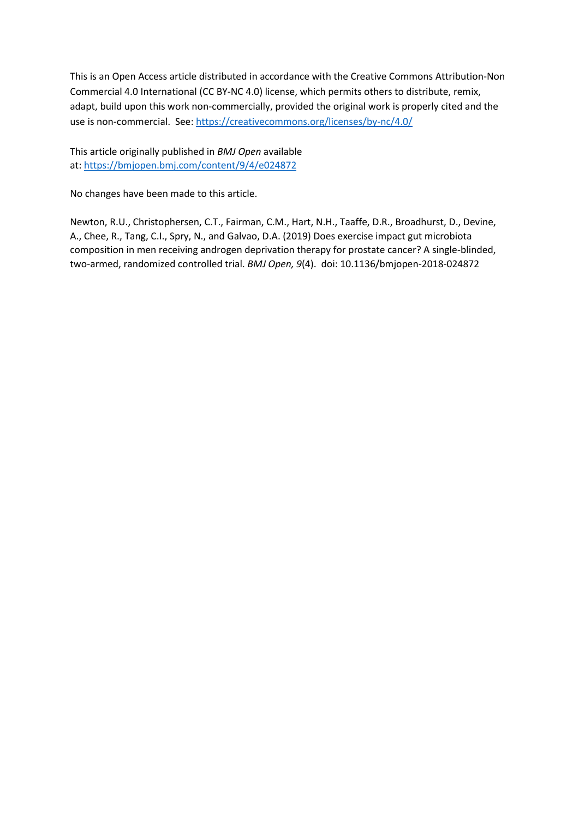This is an Open Access article distributed in accordance with the Creative Commons Attribution-Non Commercial 4.0 International (CC BY-NC 4.0) license, which permits others to distribute, remix, adapt, build upon this work non-commercially, provided the original work is properly cited and the use is non-commercial. See[: https://creativecommons.org/licenses/by-nc/4.0/](https://creativecommons.org/licenses/by-nc/4.0/)

This article originally published in *BMJ Open* available at:<https://bmjopen.bmj.com/content/9/4/e024872>

No changes have been made to this article.

Newton, R.U., Christophersen, C.T., Fairman, C.M., Hart, N.H., Taaffe, D.R., Broadhurst, D., Devine, A., Chee, R., Tang, C.I., Spry, N., and Galvao, D.A. (2019) Does exercise impact gut microbiota composition in men receiving androgen deprivation therapy for prostate cancer? A single-blinded, two-armed, randomized controlled trial. *BMJ Open, 9*(4). doi: 10.1136/bmjopen-2018-024872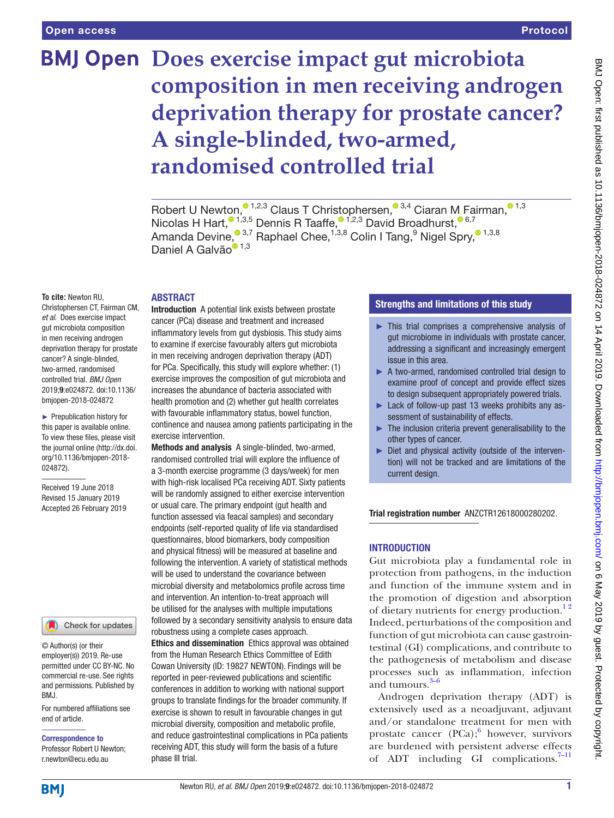# **BMJ Open Does exercise impact gut microbiota composition in men receiving androgen deprivation therapy for prostate cancer? A single-blinded, two-armed, randomised controlled trial**

RobertU Newton[,](http://orcid.org/0000-0001-8834-9669)  $0^{1,2,3}$  Claus T Christophersen,  $0^{3,4}$  Ciaran M Fairman,  $0^{1,3}$ Nicolas H Hart[,](http://orcid.org/0000-0003-2794-0193) $\frac{1,3,5}{2}$  $\frac{1,3,5}{2}$  $\frac{1,3,5}{2}$  Dennis R Taaffe,  $\frac{1,2,3}{2}$  David Broadhurst,  $\frac{6,7}{2}$ AmandaDevine,  $^{\textcircled{\tiny 3,7}}$  Raphael Chee,  $^{1,3,8}$  Colin I Tang,  $^9$  Nigel Spry,  $^{\textcircled{\tiny 1,3,8}}$ DanielA Galvão<sup>® [1](http://orcid.org/0000-0001-6978-6249),3</sup>

#### **To cite:** Newton RU,

Christophersen CT, Fairman CM, *et al*. Does exercise impact gut microbiota composition in men receiving androgen deprivation therapy for prostate cancer? A single-blinded, two-armed, randomised controlled trial. *BMJ Open* 2019;9:e024872. doi:10.1136/ bmjopen-2018-024872

► Prepublication history for this paper is available online. To view these files, please visit the journal online [\(http://dx.doi.](http://dx.doi.org/10.1136/bmjopen-2018-024872) [org/10.1136/bmjopen-2018-](http://dx.doi.org/10.1136/bmjopen-2018-024872) [024872\)](http://dx.doi.org/10.1136/bmjopen-2018-024872).

Received 19 June 2018 Revised 15 January 2019 Accepted 26 February 2019



© Author(s) (or their employer(s)) 2019. Re-use permitted under CC BY-NC. No commercial re-use. See rights and permissions. Published by BMJ.

For numbered affiliations see end of article.

Correspondence to Professor Robert U Newton; r.newton@ecu.edu.au

# **ABSTRACT**

Introduction A potential link exists between prostate cancer (PCa) disease and treatment and increased inflammatory levels from gut dysbiosis. This study aims to examine if exercise favourably alters gut microbiota in men receiving androgen deprivation therapy (ADT) for PCa. Specifically, this study will explore whether: (1) exercise improves the composition of gut microbiota and increases the abundance of bacteria associated with health promotion and (2) whether gut health correlates with favourable inflammatory status, bowel function, continence and nausea among patients participating in the exercise intervention.

Methods and analysis A single-blinded, two-armed, randomised controlled trial will explore the influence of a 3-month exercise programme (3 days/week) for men with high-risk localised PCa receiving ADT. Sixty patients will be randomly assigned to either exercise intervention or usual care. The primary endpoint (gut health and function assessed via feacal samples) and secondary endpoints (self-reported quality of life via standardised questionnaires, blood biomarkers, body composition and physical fitness) will be measured at baseline and following the intervention. A variety of statistical methods will be used to understand the covariance between microbial diversity and metabolomics profile across time and intervention. An intention-to-treat approach will be utilised for the analyses with multiple imputations followed by a secondary sensitivity analysis to ensure data robustness using a complete cases approach.

Ethics and dissemination Ethics approval was obtained from the Human Research Ethics Committee of Edith Cowan University (ID: 19827 NEWTON). Findings will be reported in peer-reviewed publications and scientific conferences in addition to working with national support groups to translate findings for the broader community. If exercise is shown to result in favourable changes in gut microbial diversity, composition and metabolic profile, and reduce gastrointestinal complications in PCa patients receiving ADT, this study will form the basis of a future phase III trial.

### Strengths and limitations of this study

- ► This trial comprises a comprehensive analysis of gut microbiome in individuals with prostate cancer, addressing a significant and increasingly emergent issue in this area.
- ► A two-armed, randomised controlled trial design to examine proof of concept and provide effect sizes to design subsequent appropriately powered trials.
- ► Lack of follow-up past 13 weeks prohibits any assessment of sustainability of effects.
- ► The inclusion criteria prevent generalisability to the other types of cancer.
- ► Diet and physical activity (outside of the intervention) will not be tracked and are limitations of the current design.

Trial registration number ANZCTR12618000280202.

#### **INTRODUCTION**

Gut microbiota play a fundamental role in protection from pathogens, in the induction and function of the immune system and in the promotion of digestion and absorption of dietary nutrients for energy production.<sup>12</sup> Indeed, perturbations of the composition and function of gut microbiota can cause gastrointestinal (GI) complications, and contribute to the pathogenesis of metabolism and disease processes such as inflammation, infection and tumours. $3-6$ 

Androgen deprivation therapy (ADT) is extensively used as a neoadjuvant, adjuvant and/or standalone treatment for men with prostate cancer  $(PCa);$ <sup>[6](#page-9-2)</sup> however, survivors are burdened with persistent adverse effects of ADT including GI complications. $7-11$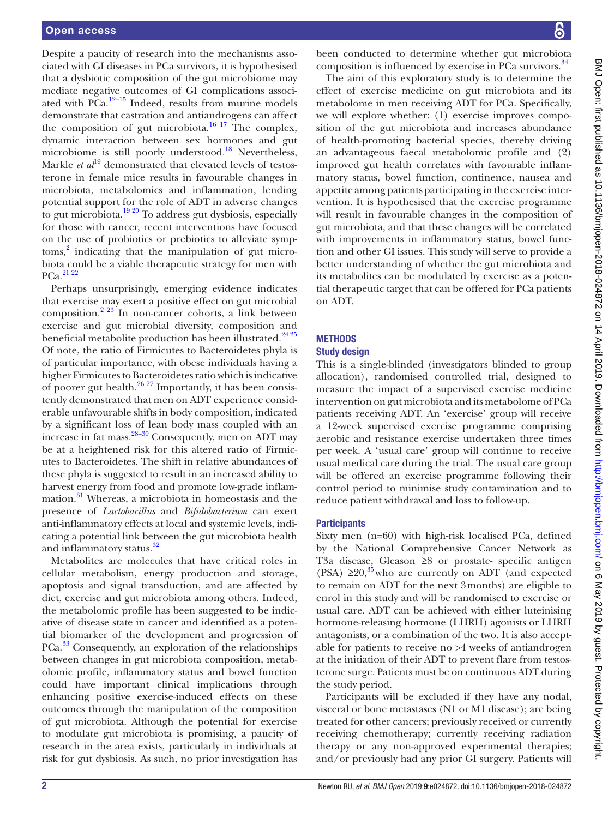Despite a paucity of research into the mechanisms associated with GI diseases in PCa survivors, it is hypothesised that a dysbiotic composition of the gut microbiome may mediate negative outcomes of GI complications associated with  $\overline{P}$ Ca.<sup>12–15</sup> Indeed, results from murine models demonstrate that castration and antiandrogens can affect the composition of gut microbiota.<sup>[16 17](#page-10-0)</sup> The complex, dynamic interaction between sex hormones and gut microbiome is still poorly understood.<sup>18</sup> Nevertheless, Markle *et al*<sup>19</sup> demonstrated that elevated levels of testosterone in female mice results in favourable changes in microbiota, metabolomics and inflammation, lending potential support for the role of ADT in adverse changes to gut microbiota.<sup>19 20</sup> To address gut dysbiosis, especially for those with cancer, recent interventions have focused on the use of probiotics or prebiotics to alleviate symp-toms,<sup>[2](#page-9-5)</sup> indicating that the manipulation of gut microbiota could be a viable therapeutic strategy for men with PCa.<sup>21</sup> 22

Perhaps unsurprisingly, emerging evidence indicates that exercise may exert a positive effect on gut microbial composition.<sup>2 23</sup> In non-cancer cohorts, a link between exercise and gut microbial diversity, composition and beneficial metabolite production has been illustrated.<sup>24 25</sup> Of note, the ratio of Firmicutes to Bacteroidetes phyla is of particular importance, with obese individuals having a higher Firmicutes to Bacteroidetes ratio which is indicative of poorer gut health. $26 27$  Importantly, it has been consistently demonstrated that men on ADT experience considerable unfavourable shifts in body composition, indicated by a significant loss of lean body mass coupled with an increase in fat mass[.28–30](#page-10-6) Consequently, men on ADT may be at a heightened risk for this altered ratio of Firmicutes to Bacteroidetes. The shift in relative abundances of these phyla is suggested to result in an increased ability to harvest energy from food and promote low-grade inflammation[.31](#page-10-7) Whereas, a microbiota in homeostasis and the presence of *Lactobacillus* and *Bifidobacterium* can exert anti-inflammatory effects at local and systemic levels, indicating a potential link between the gut microbiota health and inflammatory status.<sup>[32](#page-10-8)</sup>

Metabolites are molecules that have critical roles in cellular metabolism, energy production and storage, apoptosis and signal transduction, and are affected by diet, exercise and gut microbiota among others. Indeed, the metabolomic profile has been suggested to be indicative of disease state in cancer and identified as a potential biomarker of the development and progression of PCa.<sup>33</sup> Consequently, an exploration of the relationships between changes in gut microbiota composition, metabolomic profile, inflammatory status and bowel function could have important clinical implications through enhancing positive exercise-induced effects on these outcomes through the manipulation of the composition of gut microbiota. Although the potential for exercise to modulate gut microbiota is promising, a paucity of research in the area exists, particularly in individuals at risk for gut dysbiosis. As such, no prior investigation has

been conducted to determine whether gut microbiota composition is influenced by exercise in PCa survivors.<sup>[34](#page-10-10)</sup>

The aim of this exploratory study is to determine the effect of exercise medicine on gut microbiota and its metabolome in men receiving ADT for PCa. Specifically, we will explore whether: (1) exercise improves composition of the gut microbiota and increases abundance of health-promoting bacterial species, thereby driving an advantageous faecal metabolomic profile and (2) improved gut health correlates with favourable inflammatory status, bowel function, continence, nausea and appetite among patients participating in the exercise intervention. It is hypothesised that the exercise programme will result in favourable changes in the composition of gut microbiota, and that these changes will be correlated with improvements in inflammatory status, bowel function and other GI issues. This study will serve to provide a better understanding of whether the gut microbiota and its metabolites can be modulated by exercise as a potential therapeutic target that can be offered for PCa patients on ADT.

## **METHODS**

#### Study design

This is a single-blinded (investigators blinded to group allocation), randomised controlled trial, designed to measure the impact of a supervised exercise medicine intervention on gut microbiota and its metabolome of PCa patients receiving ADT. An 'exercise' group will receive a 12-week supervised exercise programme comprising aerobic and resistance exercise undertaken three times per week. A 'usual care' group will continue to receive usual medical care during the trial. The usual care group will be offered an exercise programme following their control period to minimise study contamination and to reduce patient withdrawal and loss to follow-up.

#### **Participants**

Sixty men (n=60) with high-risk localised PCa, defined by the National Comprehensive Cancer Network as T3a disease, Gleason ≥8 or prostate- specific antigen (PSA)  $\geq 20$ ,<sup>35</sup> who are currently on ADT (and expected to remain on ADT for the next 3months) are eligible to enrol in this study and will be randomised to exercise or usual care. ADT can be achieved with either luteinising hormone-releasing hormone (LHRH) agonists or LHRH antagonists, or a combination of the two. It is also acceptable for patients to receive no >4 weeks of antiandrogen at the initiation of their ADT to prevent flare from testosterone surge. Patients must be on continuous ADT during the study period.

Participants will be excluded if they have any nodal, visceral or bone metastases (N1 or M1 disease); are being treated for other cancers; previously received or currently receiving chemotherapy; currently receiving radiation therapy or any non-approved experimental therapies; and/or previously had any prior GI surgery. Patients will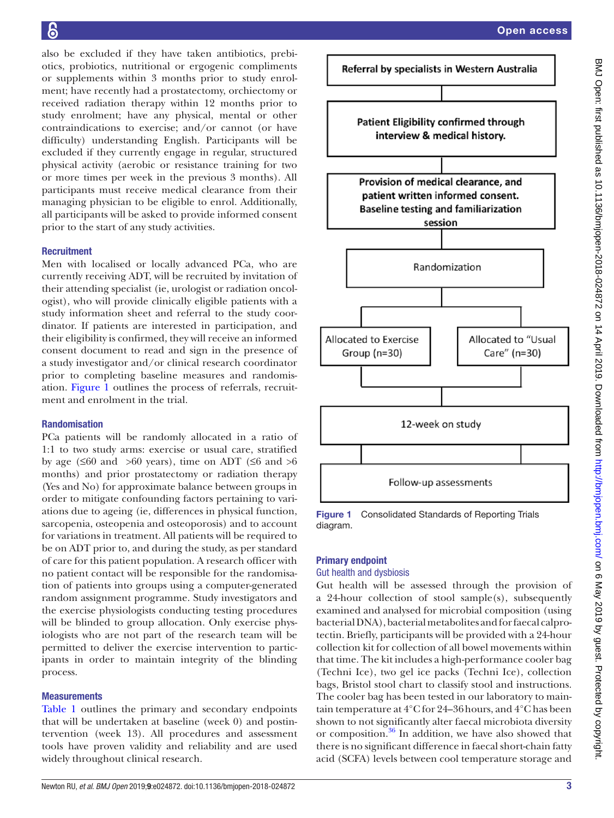also be excluded if they have taken antibiotics, prebiotics, probiotics, nutritional or ergogenic compliments or supplements within 3 months prior to study enrolment; have recently had a prostatectomy, orchiectomy or received radiation therapy within 12 months prior to study enrolment; have any physical, mental or other contraindications to exercise; and/or cannot (or have difficulty) understanding English. Participants will be excluded if they currently engage in regular, structured physical activity (aerobic or resistance training for two or more times per week in the previous 3 months). All participants must receive medical clearance from their managing physician to be eligible to enrol. Additionally, all participants will be asked to provide informed consent prior to the start of any study activities.

#### **Recruitment**

Men with localised or locally advanced PCa, who are currently receiving ADT, will be recruited by invitation of their attending specialist (ie, urologist or radiation oncologist), who will provide clinically eligible patients with a study information sheet and referral to the study coordinator. If patients are interested in participation, and their eligibility is confirmed, they will receive an informed consent document to read and sign in the presence of a study investigator and/or clinical research coordinator prior to completing baseline measures and randomisation. [Figure](#page-5-0) 1 outlines the process of referrals, recruitment and enrolment in the trial.

#### Randomisation

PCa patients will be randomly allocated in a ratio of 1:1 to two study arms: exercise or usual care, stratified by age ( $\leq 60$  and  $> 60$  years), time on ADT ( $\leq 6$  and  $> 6$ months) and prior prostatectomy or radiation therapy (Yes and No) for approximate balance between groups in order to mitigate confounding factors pertaining to variations due to ageing (ie, differences in physical function, sarcopenia, osteopenia and osteoporosis) and to account for variations in treatment. All patients will be required to be on ADT prior to, and during the study, as per standard of care for this patient population. A research officer with no patient contact will be responsible for the randomisation of patients into groups using a computer-generated random assignment programme. Study investigators and the exercise physiologists conducting testing procedures will be blinded to group allocation. Only exercise physiologists who are not part of the research team will be permitted to deliver the exercise intervention to participants in order to maintain integrity of the blinding process.

#### **Measurements**

[Table](#page-6-0) 1 outlines the primary and secondary endpoints that will be undertaken at baseline (week 0) and postintervention (week 13). All procedures and assessment tools have proven validity and reliability and are used widely throughout clinical research.



<span id="page-5-0"></span>Figure 1 Consolidated Standards of Reporting Trials diagram.

#### Primary endpoint

#### Gut health and dysbiosis

Gut health will be assessed through the provision of a 24-hour collection of stool sample(s), subsequently examined and analysed for microbial composition (using bacterial DNA), bacterial metabolites and for faecal calprotectin. Briefly, participants will be provided with a 24-hour collection kit for collection of all bowel movements within that time. The kit includes a high-performance cooler bag (Techni Ice), two gel ice packs (Techni Ice), collection bags, Bristol stool chart to classify stool and instructions. The cooler bag has been tested in our laboratory to maintain temperature at 4°C for 24–36hours, and 4°C has been shown to not significantly alter faecal microbiota diversity or composition. $36$  In addition, we have also showed that there is no significant difference in faecal short-chain fatty acid (SCFA) levels between cool temperature storage and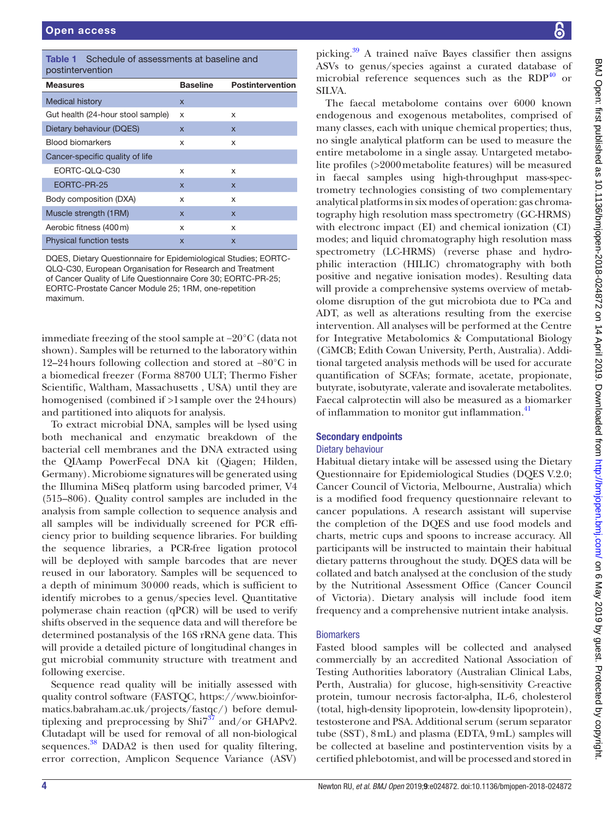<span id="page-6-0"></span>

| Schedule of assessments at baseline and<br>Table 1<br>postintervention |                 |                         |
|------------------------------------------------------------------------|-----------------|-------------------------|
| <b>Measures</b>                                                        | <b>Baseline</b> | <b>Postintervention</b> |
| <b>Medical history</b>                                                 | $\mathsf{x}$    |                         |
| Gut health (24-hour stool sample)                                      | x               | x                       |
| Dietary behaviour (DQES)                                               | X               | $\mathsf{x}$            |
| <b>Blood biomarkers</b>                                                | x               | X                       |
| Cancer-specific quality of life                                        |                 |                         |
| EORTC-QLQ-C30                                                          | x               | x                       |
| EORTC-PR-25                                                            | $\mathsf{x}$    | $\mathsf{x}$            |
| Body composition (DXA)                                                 | x               | X                       |
| Muscle strength (1RM)                                                  | $\mathsf{x}$    | $\mathsf{x}$            |
| Aerobic fitness (400 m)                                                | x               | x                       |
| <b>Physical function tests</b>                                         | $\mathsf{x}$    | $\mathsf{x}$            |

DQES, Dietary Questionnaire for Epidemiological Studies; EORTC-QLQ-C30, European Organisation for Research and Treatment of Cancer Quality of Life Questionnaire Core 30; EORTC-PR-25; EORTC-Prostate Cancer Module 25; 1RM, one-repetition maximum.

immediate freezing of the stool sample at −20°C (data not shown). Samples will be returned to the laboratory within 12–24hours following collection and stored at −80°C in a biomedical freezer (Forma 88700 ULT; Thermo Fisher Scientific, Waltham, Massachusetts , USA) until they are homogenised (combined if >1sample over the 24hours) and partitioned into aliquots for analysis.

To extract microbial DNA, samples will be lysed using both mechanical and enzymatic breakdown of the bacterial cell membranes and the DNA extracted using the QIAamp PowerFecal DNA kit (Qiagen; Hilden, Germany). Microbiome signatures will be generated using the Illumina MiSeq platform using barcoded primer, V4 (515–806). Quality control samples are included in the analysis from sample collection to sequence analysis and all samples will be individually screened for PCR efficiency prior to building sequence libraries. For building the sequence libraries, a PCR-free ligation protocol will be deployed with sample barcodes that are never reused in our laboratory. Samples will be sequenced to a depth of minimum 30000 reads, which is sufficient to identify microbes to a genus/species level. Quantitative polymerase chain reaction (qPCR) will be used to verify shifts observed in the sequence data and will therefore be determined postanalysis of the 16S rRNA gene data. This will provide a detailed picture of longitudinal changes in gut microbial community structure with treatment and following exercise.

Sequence read quality will be initially assessed with quality control software (FASTQC, [https://www.bioinfor](https://www.bioinformatics.babraham.ac.uk/projects/fastqc/)[matics.babraham.ac.uk/projects/fastqc/](https://www.bioinformatics.babraham.ac.uk/projects/fastqc/)) before demultiplexing and preprocessing by  $\text{Shi7}^{37}$  and/or GHAPv2. Clutadapt will be used for removal of all non-biological sequences.<sup>[38](#page-10-14)</sup> DADA2 is then used for quality filtering, error correction, Amplicon Sequence Variance (ASV)

picking.[39](#page-10-15) A trained naïve Bayes classifier then assigns ASVs to genus/species against a curated database of microbial reference sequences such as the RDP<sup>[40](#page-10-16)</sup> or SILVA.

The faecal metabolome contains over 6000 known endogenous and exogenous metabolites, comprised of many classes, each with unique chemical properties; thus, no single analytical platform can be used to measure the entire metabolome in a single assay. Untargeted metabolite profiles (>2000metabolite features) will be measured in faecal samples using high-throughput mass-spectrometry technologies consisting of two complementary analytical platforms in six modes of operation: gas chromatography high resolution mass spectrometry (GC-HRMS) with electronc impact (EI) and chemical ionization (CI) modes; and liquid chromatography high resolution mass spectrometry (LC-HRMS) (reverse phase and hydrophilic interaction (HILIC) chromatography with both positive and negative ionisation modes). Resulting data will provide a comprehensive systems overview of metabolome disruption of the gut microbiota due to PCa and ADT, as well as alterations resulting from the exercise intervention. All analyses will be performed at the Centre for Integrative Metabolomics & Computational Biology (CiMCB; Edith Cowan University, Perth, Australia). Additional targeted analysis methods will be used for accurate quantification of SCFAs; formate, acetate, propionate, butyrate, isobutyrate, valerate and isovalerate metabolites. Faecal calprotectin will also be measured as a biomarker of inflammation to monitor gut inflammation.<sup>41</sup>

#### Secondary endpoints

#### Dietary behaviour

Habitual dietary intake will be assessed using the Dietary Questionnaire for Epidemiological Studies (DQES V.2.0; Cancer Council of Victoria, Melbourne, Australia) which is a modified food frequency questionnaire relevant to cancer populations. A research assistant will supervise the completion of the DQES and use food models and charts, metric cups and spoons to increase accuracy. All participants will be instructed to maintain their habitual dietary patterns throughout the study. DQES data will be collated and batch analysed at the conclusion of the study by the Nutritional Assessment Office (Cancer Council of Victoria). Dietary analysis will include food item frequency and a comprehensive nutrient intake analysis.

#### **Biomarkers**

Fasted blood samples will be collected and analysed commercially by an accredited National Association of Testing Authorities laboratory (Australian Clinical Labs, Perth, Australia) for glucose, high-sensitivity C-reactive protein, tumour necrosis factor-alpha, IL-6, cholesterol (total, high-density lipoprotein, low-density lipoprotein), testosterone and PSA. Additional serum (serum separator tube (SST), 8mL) and plasma (EDTA, 9mL) samples will be collected at baseline and postintervention visits by a certified phlebotomist, and will be processed and stored in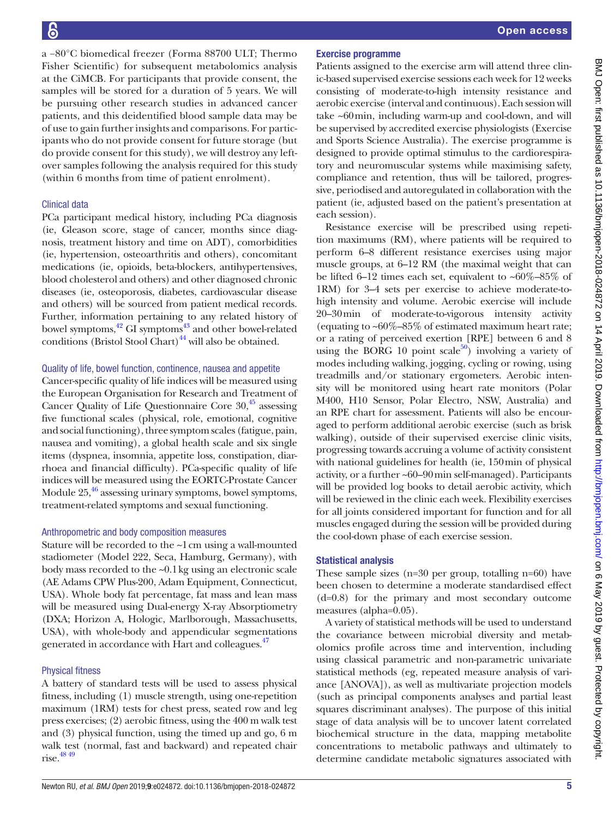a −80°C biomedical freezer (Forma 88700 ULT; Thermo Fisher Scientific) for subsequent metabolomics analysis at the CiMCB. For participants that provide consent, the samples will be stored for a duration of 5 years. We will be pursuing other research studies in advanced cancer patients, and this deidentified blood sample data may be of use to gain further insights and comparisons. For participants who do not provide consent for future storage (but do provide consent for this study), we will destroy any leftover samples following the analysis required for this study (within 6 months from time of patient enrolment).

#### Clinical data

PCa participant medical history, including PCa diagnosis (ie, Gleason score, stage of cancer, months since diagnosis, treatment history and time on ADT), comorbidities (ie, hypertension, osteoarthritis and others), concomitant medications (ie, opioids, beta-blockers, antihypertensives, blood cholesterol and others) and other diagnosed chronic diseases (ie, osteoporosis, diabetes, cardiovascular disease and others) will be sourced from patient medical records. Further, information pertaining to any related history of bowel symptoms, $^{42}$  GI symptoms $^{43}$  and other bowel-related conditions (Bristol Stool Chart) $44$  will also be obtained.

#### Quality of life, bowel function, continence, nausea and appetite

Cancer-specific quality of life indices will be measured using the European Organisation for Research and Treatment of Cancer Quality of Life Questionnaire Core  $30<sup>45</sup>$  assessing five functional scales (physical, role, emotional, cognitive and social functioning), three symptom scales (fatigue, pain, nausea and vomiting), a global health scale and six single items (dyspnea, insomnia, appetite loss, constipation, diarrhoea and financial difficulty). PCa-specific quality of life indices will be measured using the EORTC-Prostate Cancer Module  $25<sup>46</sup>$  assessing urinary symptoms, bowel symptoms, treatment-related symptoms and sexual functioning.

#### Anthropometric and body composition measures

Stature will be recorded to the ~1cm using a wall-mounted stadiometer (Model 222, Seca, Hamburg, Germany), with body mass recorded to the ~0.1kg using an electronic scale (AE Adams CPW Plus-200, Adam Equipment, Connecticut, USA). Whole body fat percentage, fat mass and lean mass will be measured using Dual-energy X-ray Absorptiometry (DXA; Horizon A, Hologic, Marlborough, Massachusetts, USA), with whole-body and appendicular segmentations generated in accordance with Hart and colleagues.<sup>47</sup>

#### Physical fitness

A battery of standard tests will be used to assess physical fitness, including (1) muscle strength, using one-repetition maximum (1RM) tests for chest press, seated row and leg press exercises; (2) aerobic fitness, using the 400 m walk test and (3) physical function, using the timed up and go, 6 m walk test (normal, fast and backward) and repeated chair rise. $48\frac{49}{1}$ 

#### Exercise programme

Patients assigned to the exercise arm will attend three clinic-based supervised exercise sessions each week for 12 weeks consisting of moderate-to-high intensity resistance and aerobic exercise (interval and continuous). Each session will take ~60min, including warm-up and cool-down, and will be supervised by accredited exercise physiologists (Exercise and Sports Science Australia). The exercise programme is designed to provide optimal stimulus to the cardiorespiratory and neuromuscular systems while maximising safety, compliance and retention, thus will be tailored, progressive, periodised and autoregulated in collaboration with the patient (ie, adjusted based on the patient's presentation at each session).

Resistance exercise will be prescribed using repetition maximums (RM), where patients will be required to perform 6–8 different resistance exercises using major muscle groups, at 6–12 RM (the maximal weight that can be lifted 6–12 times each set, equivalent to  $~60\%$ –85% of 1RM) for 3–4 sets per exercise to achieve moderate-tohigh intensity and volume. Aerobic exercise will include 20–30min of moderate-to-vigorous intensity activity (equating to  $~60\%$ –85% of estimated maximum heart rate; or a rating of perceived exertion [RPE] between 6 and 8 using the BORG 10 point scale<sup>50</sup>) involving a variety of modes including walking, jogging, cycling or rowing, using treadmills and/or stationary ergometers. Aerobic intensity will be monitored using heart rate monitors (Polar M400, H10 Sensor, Polar Electro, NSW, Australia) and an RPE chart for assessment. Patients will also be encouraged to perform additional aerobic exercise (such as brisk walking), outside of their supervised exercise clinic visits, progressing towards accruing a volume of activity consistent with national guidelines for health (ie, 150min of physical activity, or a further ~60–90min self-managed). Participants will be provided log books to detail aerobic activity, which will be reviewed in the clinic each week. Flexibility exercises for all joints considered important for function and for all muscles engaged during the session will be provided during the cool-down phase of each exercise session.

#### Statistical analysis

These sample sizes (n=30 per group, totalling n=60) have been chosen to determine a moderate standardised effect (d=0.8) for the primary and most secondary outcome measures (alpha=0.05).

A variety of statistical methods will be used to understand the covariance between microbial diversity and metabolomics profile across time and intervention, including using classical parametric and non-parametric univariate statistical methods (eg, repeated measure analysis of variance [ANOVA]), as well as multivariate projection models (such as principal components analyses and partial least squares discriminant analyses). The purpose of this initial stage of data analysis will be to uncover latent correlated biochemical structure in the data, mapping metabolite concentrations to metabolic pathways and ultimately to determine candidate metabolic signatures associated with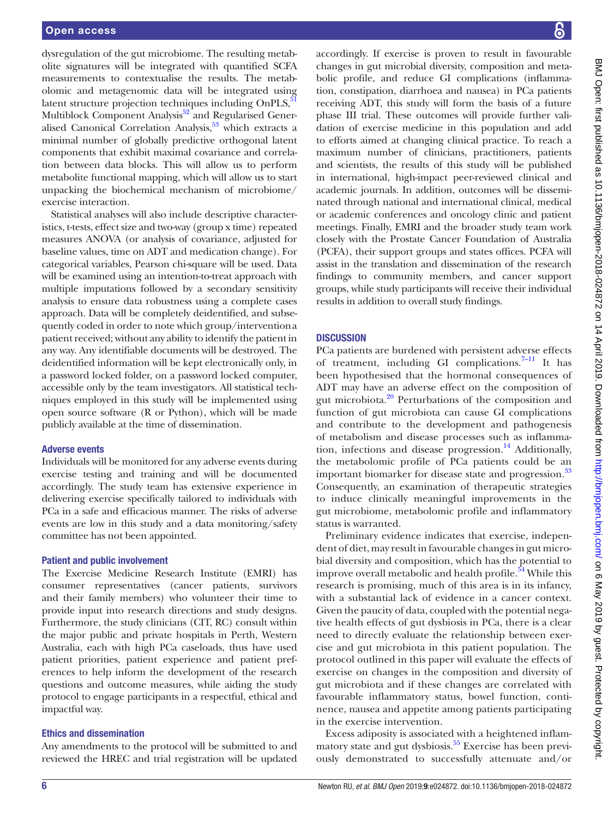dysregulation of the gut microbiome. The resulting metabolite signatures will be integrated with quantified SCFA measurements to contextualise the results. The metabolomic and metagenomic data will be integrated using latent structure projection techniques including  $OnPLS$ , $\frac{5}{5}$ Multiblock Component Analysis<sup>52</sup> and Regularised Gener-alised Canonical Correlation Analysis,<sup>[53](#page-10-28)</sup> which extracts a minimal number of globally predictive orthogonal latent components that exhibit maximal covariance and correlation between data blocks. This will allow us to perform metabolite functional mapping, which will allow us to start unpacking the biochemical mechanism of microbiome/ exercise interaction.

Statistical analyses will also include descriptive characteristics, t-tests, effect size and two-way (group x time) repeated measures ANOVA (or analysis of covariance, adjusted for baseline values, time on ADT and medication change). For categorical variables, Pearson chi-square will be used. Data will be examined using an intention-to-treat approach with multiple imputations followed by a secondary sensitivity analysis to ensure data robustness using a complete cases approach. Data will be completely deidentified, and subsequently coded in order to note which group/interventiona patient received; without any ability to identify the patient in any way. Any identifiable documents will be destroyed. The deidentified information will be kept electronically only, in a password locked folder, on a password locked computer, accessible only by the team investigators. All statistical techniques employed in this study will be implemented using open source software (R or Python), which will be made publicly available at the time of dissemination.

#### Adverse events

Individuals will be monitored for any adverse events during exercise testing and training and will be documented accordingly. The study team has extensive experience in delivering exercise specifically tailored to individuals with PCa in a safe and efficacious manner. The risks of adverse events are low in this study and a data monitoring/safety committee has not been appointed.

#### Patient and public involvement

The Exercise Medicine Research Institute (EMRI) has consumer representatives (cancer patients, survivors and their family members) who volunteer their time to provide input into research directions and study designs. Furthermore, the study clinicians (CIT, RC) consult within the major public and private hospitals in Perth, Western Australia, each with high PCa caseloads, thus have used patient priorities, patient experience and patient preferences to help inform the development of the research questions and outcome measures, while aiding the study protocol to engage participants in a respectful, ethical and impactful way.

#### Ethics and dissemination

Any amendments to the protocol will be submitted to and reviewed the HREC and trial registration will be updated

accordingly. If exercise is proven to result in favourable changes in gut microbial diversity, composition and metabolic profile, and reduce GI complications (inflammation, constipation, diarrhoea and nausea) in PCa patients receiving ADT, this study will form the basis of a future phase III trial. These outcomes will provide further validation of exercise medicine in this population and add to efforts aimed at changing clinical practice. To reach a maximum number of clinicians, practitioners, patients and scientists, the results of this study will be published in international, high-impact peer-reviewed clinical and academic journals. In addition, outcomes will be disseminated through national and international clinical, medical or academic conferences and oncology clinic and patient meetings. Finally, EMRI and the broader study team work closely with the Prostate Cancer Foundation of Australia (PCFA), their support groups and states offices. PCFA will assist in the translation and dissemination of the research findings to community members, and cancer support groups, while study participants will receive their individual results in addition to overall study findings.

#### **DISCUSSION**

PCa patients are burdened with persistent adverse effects of treatment, including GI complications. $7-11$  It has been hypothesised that the hormonal consequences of ADT may have an adverse effect on the composition of gut microbiota[.20](#page-10-29) Perturbations of the composition and function of gut microbiota can cause GI complications and contribute to the development and pathogenesis of metabolism and disease processes such as inflammation, infections and disease progression.<sup>14</sup> Additionally, the metabolomic profile of PCa patients could be an important biomarker for disease state and progression.<sup>[33](#page-10-9)</sup> Consequently, an examination of therapeutic strategies to induce clinically meaningful improvements in the gut microbiome, metabolomic profile and inflammatory status is warranted.

Preliminary evidence indicates that exercise, independent of diet, may result in favourable changes in gut microbial diversity and composition, which has the potential to improve overall metabolic and health profile.<sup>54</sup> While this research is promising, much of this area is in its infancy, with a substantial lack of evidence in a cancer context. Given the paucity of data, coupled with the potential negative health effects of gut dysbiosis in PCa, there is a clear need to directly evaluate the relationship between exercise and gut microbiota in this patient population. The protocol outlined in this paper will evaluate the effects of exercise on changes in the composition and diversity of gut microbiota and if these changes are correlated with favourable inflammatory status, bowel function, continence, nausea and appetite among patients participating in the exercise intervention.

Excess adiposity is associated with a heightened inflammatory state and gut dysbiosis. $55$  Exercise has been previously demonstrated to successfully attenuate and/or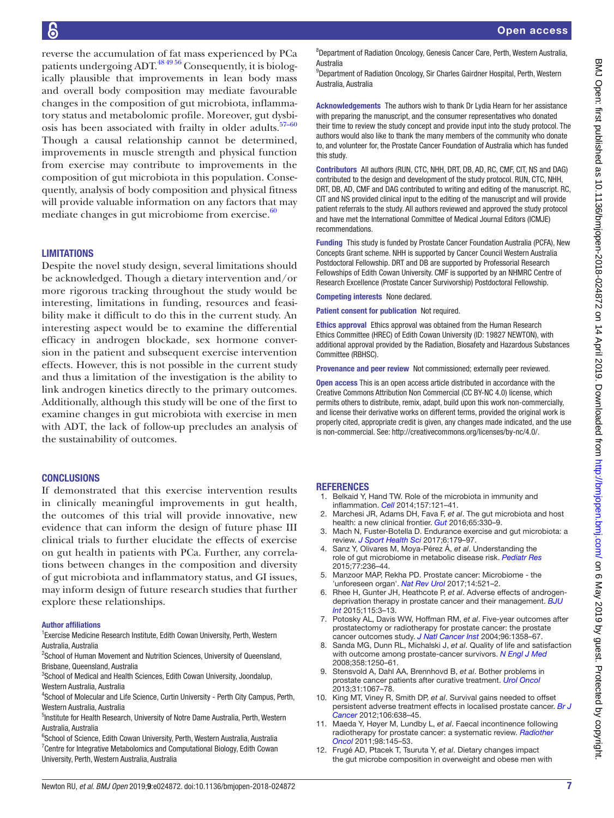reverse the accumulation of fat mass experienced by PCa patients undergoing  $ADT$ .<sup>48,49,56</sup> Consequently, it is biologically plausible that improvements in lean body mass and overall body composition may mediate favourable changes in the composition of gut microbiota, inflammatory status and metabolomic profile. Moreover, gut dysbi-osis has been associated with frailty in older adults.<sup>[57–60](#page-10-33)</sup> Though a causal relationship cannot be determined, improvements in muscle strength and physical function from exercise may contribute to improvements in the composition of gut microbiota in this population. Consequently, analysis of body composition and physical fitness will provide valuable information on any factors that may mediate changes in gut microbiome from exercise. $60$ 

#### **LIMITATIONS**

Despite the novel study design, several limitations should be acknowledged. Though a dietary intervention and/or more rigorous tracking throughout the study would be interesting, limitations in funding, resources and feasibility make it difficult to do this in the current study. An interesting aspect would be to examine the differential efficacy in androgen blockade, sex hormone conversion in the patient and subsequent exercise intervention effects. However, this is not possible in the current study and thus a limitation of the investigation is the ability to link androgen kinetics directly to the primary outcomes. Additionally, although this study will be one of the first to examine changes in gut microbiota with exercise in men with ADT, the lack of follow-up precludes an analysis of the sustainability of outcomes.

#### **CONCLUSIONS**

If demonstrated that this exercise intervention results in clinically meaningful improvements in gut health, the outcomes of this trial will provide innovative, new evidence that can inform the design of future phase III clinical trials to further elucidate the effects of exercise on gut health in patients with PCa. Further, any correlations between changes in the composition and diversity of gut microbiota and inflammatory status, and GI issues, may inform design of future research studies that further explore these relationships.

#### Author affiliations

<sup>1</sup> Exercise Medicine Research Institute, Edith Cowan University, Perth, Western Australia, Australia

<sup>2</sup>School of Human Movement and Nutrition Sciences, University of Queensland, Brisbane, Queensland, Australia

<sup>3</sup>School of Medical and Health Sciences, Edith Cowan University, Joondalup, Western Australia, Australia

<sup>4</sup>School of Molecular and Life Science, Curtin University - Perth City Campus, Perth, Western Australia, Australia

5 Institute for Health Research, University of Notre Dame Australia, Perth, Western Australia, Australia

<sup>6</sup>School of Science, Edith Cowan University, Perth, Western Australia, Australia <sup>7</sup> Centre for Integrative Metabolomics and Computational Biology, Edith Cowan University, Perth, Western Australia, Australia

<sup>8</sup>Department of Radiation Oncology, Genesis Cancer Care, Perth, Western Australia, Australia

<sup>9</sup>Department of Radiation Oncology, Sir Charles Gairdner Hospital, Perth, Western Australia, Australia

Acknowledgements The authors wish to thank Dr Lydia Hearn for her assistance with preparing the manuscript, and the consumer representatives who donated their time to review the study concept and provide input into the study protocol. The authors would also like to thank the many members of the community who donate to, and volunteer for, the Prostate Cancer Foundation of Australia which has funded this study.

Contributors All authors (RUN, CTC, NHH, DRT, DB, AD, RC, CMF, CIT, NS and DAG) contributed to the design and development of the study protocol. RUN, CTC, NHH, DRT, DB, AD, CMF and DAG contributed to writing and editing of the manuscript. RC, CIT and NS provided clinical input to the editing of the manuscript and will provide patient referrals to the study. All authors reviewed and approved the study protocol and have met the International Committee of Medical Journal Editors (ICMJE) recommendations.

Funding This study is funded by Prostate Cancer Foundation Australia (PCFA), New Concepts Grant scheme. NHH is supported by Cancer Council Western Australia Postdoctoral Fellowship. DRT and DB are supported by Professorial Research Fellowships of Edith Cowan University. CMF is supported by an NHMRC Centre of Research Excellence (Prostate Cancer Survivorship) Postdoctoral Fellowship.

Competing interests None declared.

Patient consent for publication Not required.

Ethics approval Ethics approval was obtained from the Human Research Ethics Committee (HREC) of Edith Cowan University (ID: 19827 NEWTON), with additional approval provided by the Radiation, Biosafety and Hazardous Substances Committee (RBHSC).

Provenance and peer review Not commissioned; externally peer reviewed.

Open access This is an open access article distributed in accordance with the Creative Commons Attribution Non Commercial (CC BY-NC 4.0) license, which permits others to distribute, remix, adapt, build upon this work non-commercially, and license their derivative works on different terms, provided the original work is properly cited, appropriate credit is given, any changes made indicated, and the use is non-commercial. See: [http://creativecommons.org/licenses/by-nc/4.0/.](http://creativecommons.org/licenses/by-nc/4.0/)

#### **REFERENCES**

- <span id="page-9-0"></span>1. Belkaid Y, Hand TW. Role of the microbiota in immunity and inflammation. *[Cell](http://dx.doi.org/10.1016/j.cell.2014.03.011)* 2014;157:121–41.
- <span id="page-9-5"></span>2. Marchesi JR, Adams DH, Fava F, *et al*. The gut microbiota and host health: a new clinical frontier. *[Gut](http://dx.doi.org/10.1136/gutjnl-2015-309990)* 2016;65:330–9.
- <span id="page-9-1"></span>3. Mach N, Fuster-Botella D. Endurance exercise and gut microbiota: a review. *[J Sport Health Sci](http://dx.doi.org/10.1016/j.jshs.2016.05.001)* 2017;6:179–97.
- 4. Sanz Y, Olivares M, Moya-Pérez Á, *et al*. Understanding the role of gut microbiome in metabolic disease risk. *[Pediatr Res](http://dx.doi.org/10.1038/pr.2014.170)* 2015;77:236–44.
- 5. Manzoor MAP, Rekha PD. Prostate cancer: Microbiome the 'unforeseen organ'. *[Nat Rev Urol](http://dx.doi.org/10.1038/nrurol.2017.97)* 2017;14:521–2.
- <span id="page-9-2"></span>6. Rhee H, Gunter JH, Heathcote P, *et al*. Adverse effects of androgendeprivation therapy in prostate cancer and their management. *[BJU](http://dx.doi.org/10.1111/bju.12964)  [Int](http://dx.doi.org/10.1111/bju.12964)* 2015;115:3–13.
- <span id="page-9-3"></span>7. Potosky AL, Davis WW, Hoffman RM, *et al*. Five-year outcomes after prostatectomy or radiotherapy for prostate cancer: the prostate cancer outcomes study. *[J Natl Cancer Inst](http://dx.doi.org/10.1093/jnci/djh259)* 2004;96:1358–67.
- 8. Sanda MG, Dunn RL, Michalski J, *et al*. Quality of life and satisfaction with outcome among prostate-cancer survivors. *[N Engl J Med](http://dx.doi.org/10.1056/NEJMoa074311)* 2008;358:1250–61.
- 9. Stensvold A, Dahl AA, Brennhovd B, *et al*. Bother problems in prostate cancer patients after curative treatment. *[Urol Oncol](http://dx.doi.org/10.1016/j.urolonc.2011.12.020)* 2013;31:1067–78.
- 10. King MT, Viney R, Smith DP, *et al*. Survival gains needed to offset persistent adverse treatment effects in localised prostate cancer. *[Br J](http://dx.doi.org/10.1038/bjc.2011.552)  [Cancer](http://dx.doi.org/10.1038/bjc.2011.552)* 2012;106:638–45.
- 11. Maeda Y, Høyer M, Lundby L, *et al*. Faecal incontinence following radiotherapy for prostate cancer: a systematic review. *[Radiother](http://dx.doi.org/10.1016/j.radonc.2010.12.004)  [Oncol](http://dx.doi.org/10.1016/j.radonc.2010.12.004)* 2011;98:145–53.
- <span id="page-9-4"></span>12. Frugé AD, Ptacek T, Tsuruta Y, *et al*. Dietary changes impact the gut microbe composition in overweight and obese men with